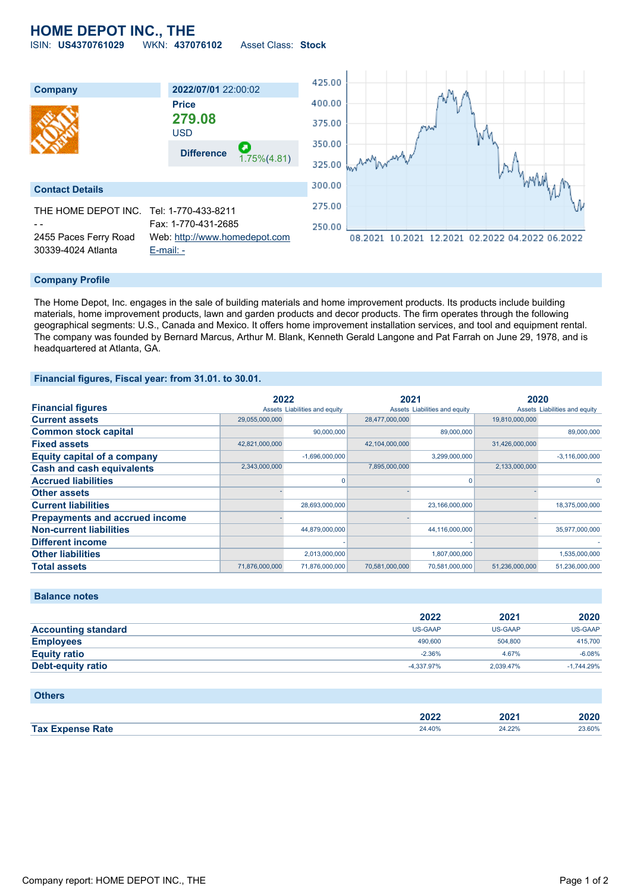## **HOME DEPOT INC., THE**

ISIN: **US4370761029** WKN: **437076102** Asset Class: **Stock**



#### **Company Profile**

The Home Depot, Inc. engages in the sale of building materials and home improvement products. Its products include building materials, home improvement products, lawn and garden products and decor products. The firm operates through the following geographical segments: U.S., Canada and Mexico. It offers home improvement installation services, and tool and equipment rental. The company was founded by Bernard Marcus, Arthur M. Blank, Kenneth Gerald Langone and Pat Farrah on June 29, 1978, and is headquartered at Atlanta, GA.

#### **Financial figures, Fiscal year: from 31.01. to 30.01.**

|                                       | 2022           |                               | 2021           |                               | 2020           |                               |
|---------------------------------------|----------------|-------------------------------|----------------|-------------------------------|----------------|-------------------------------|
| <b>Financial figures</b>              |                | Assets Liabilities and equity |                | Assets Liabilities and equity |                | Assets Liabilities and equity |
| <b>Current assets</b>                 | 29,055,000,000 |                               | 28,477,000,000 |                               | 19,810,000,000 |                               |
| <b>Common stock capital</b>           |                | 90,000,000                    |                | 89,000,000                    |                | 89,000,000                    |
| <b>Fixed assets</b>                   | 42,821,000,000 |                               | 42,104,000,000 |                               | 31,426,000,000 |                               |
| <b>Equity capital of a company</b>    |                | $-1,696,000,000$              |                | 3,299,000,000                 |                | $-3,116,000,000$              |
| <b>Cash and cash equivalents</b>      | 2,343,000,000  |                               | 7,895,000,000  |                               | 2,133,000,000  |                               |
| <b>Accrued liabilities</b>            |                |                               |                | O                             |                | $\Omega$                      |
| <b>Other assets</b>                   |                |                               |                |                               |                |                               |
| <b>Current liabilities</b>            |                | 28,693,000,000                |                | 23,166,000,000                |                | 18,375,000,000                |
| <b>Prepayments and accrued income</b> |                |                               |                |                               |                |                               |
| <b>Non-current liabilities</b>        |                | 44,879,000,000                |                | 44,116,000,000                |                | 35,977,000,000                |
| <b>Different income</b>               |                |                               |                |                               |                |                               |
| <b>Other liabilities</b>              |                | 2,013,000,000                 |                | 1,807,000,000                 |                | 1,535,000,000                 |
| <b>Total assets</b>                   | 71,876,000,000 | 71,876,000,000                | 70,581,000,000 | 70,581,000,000                | 51,236,000,000 | 51,236,000,000                |

#### **Balance notes**

|                            | 2022           | 2021           | 2020         |
|----------------------------|----------------|----------------|--------------|
| <b>Accounting standard</b> | <b>US-GAAP</b> | <b>US-GAAP</b> | US-GAAP      |
| <b>Employees</b>           | 490,600        | 504,800        | 415,700      |
| <b>Equity ratio</b>        | $-2.36%$       | 4.67%          | $-6.08%$     |
| Debt-equity ratio          | -4.337.97%     | 2.039.47%      | $-1.744.29%$ |

#### **Others**

|                         | <b>מרחק</b><br>ZUZZ | 2024<br>ZUZ<br>___ | 2020   |
|-------------------------|---------------------|--------------------|--------|
| <b>Tax Expense Rate</b> | 24.40%              | 24.22%             | 23.60% |